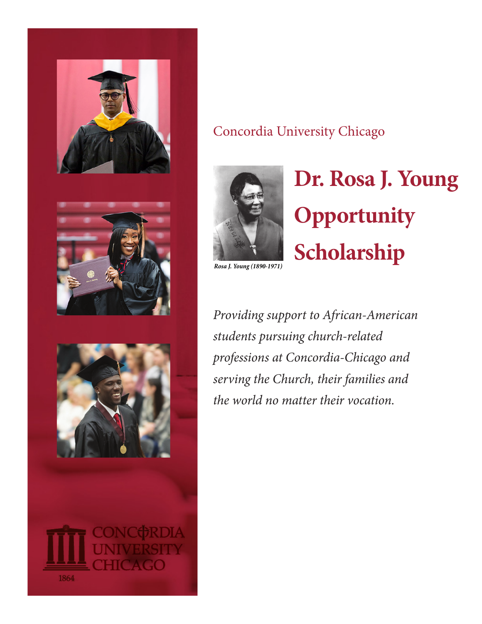

### Concordia University Chicago



# **Dr. Rosa J. Young Opportunity Scholarship**

*Rosa J. Young (1890-1971)*

*Providing support to African-American students pursuing church-related professions at Concordia-Chicago and serving the Church, their families and the world no matter their vocation.*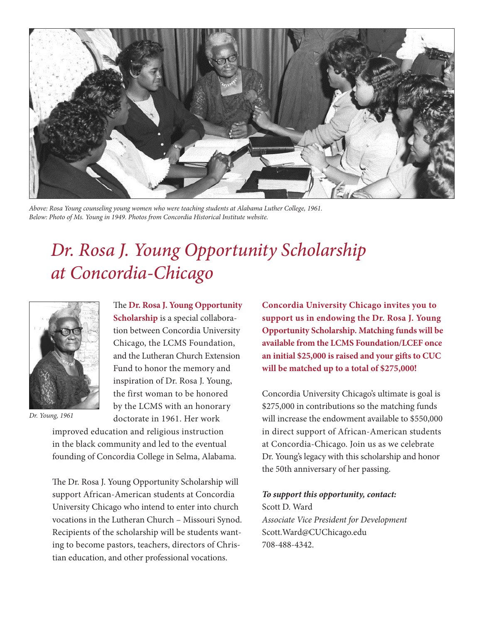

*Above: Rosa Young counseling young women who were teaching students at Alabama Luther College, 1961. Below: Photo of Ms. Young in 1949. Photos from Concordia Historical Institute website.* 

# *Dr. Rosa J. Young Opportunity Scholarship at Concordia-Chicago*



*Dr. Young, 1961*

The **Dr. Rosa J. Young Opportunity Scholarship** is a special collaboration between Concordia University Chicago, the LCMS Foundation, and the Lutheran Church Extension Fund to honor the memory and inspiration of Dr. Rosa J. Young, the first woman to be honored by the LCMS with an honorary doctorate in 1961. Her work

improved education and religious instruction in the black community and led to the eventual founding of Concordia College in Selma, Alabama.

The Dr. Rosa J. Young Opportunity Scholarship will support African-American students at Concordia University Chicago who intend to enter into church vocations in the Lutheran Church – Missouri Synod. Recipients of the scholarship will be students wanting to become pastors, teachers, directors of Christian education, and other professional vocations.

**Concordia University Chicago invites you to support us in endowing the Dr. Rosa J. Young Opportunity Scholarship. Matching funds will be available from the LCMS Foundation/LCEF once an initial \$25,000 is raised and your gifts to CUC will be matched up to a total of \$275,000!** 

Concordia University Chicago's ultimate is goal is \$275,000 in contributions so the matching funds will increase the endowment available to \$550,000 in direct support of African-American students at Concordia-Chicago. Join us as we celebrate Dr. Young's legacy with this scholarship and honor the 50th anniversary of her passing.

#### *To support this opportunity, contact:*

Scott D. Ward *Associate Vice President for Development* Scott.Ward@CUChicago.edu 708-488-4342.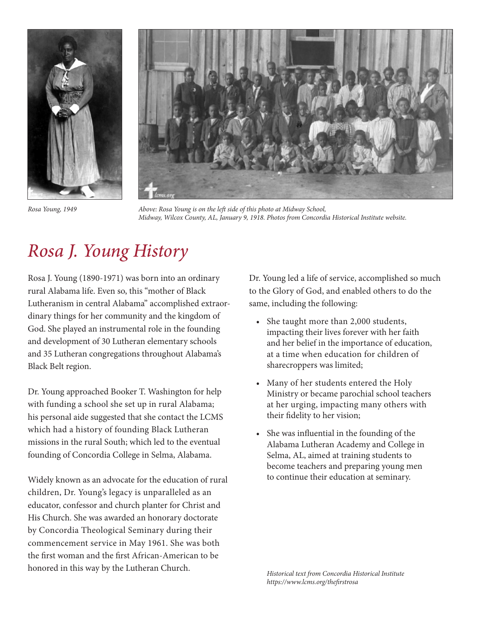



*Rosa Young, 1949*

*Above: Rosa Young is on the left side of this photo at Midway School, Midway, Wilcox County, AL, January 9, 1918. Photos from Concordia Historical Institute website.* 

# *Rosa J. Young History*

Rosa J. Young (1890-1971) was born into an ordinary rural Alabama life. Even so, this "mother of Black Lutheranism in central Alabama" accomplished extraordinary things for her community and the kingdom of God. She played an instrumental role in the founding and development of 30 Lutheran elementary schools and 35 Lutheran congregations throughout Alabama's Black Belt region.

Dr. Young approached Booker T. Washington for help with funding a school she set up in rural Alabama; his personal aide suggested that she contact the LCMS which had a history of founding Black Lutheran missions in the rural South; which led to the eventual founding of Concordia College in Selma, Alabama.

Widely known as an advocate for the education of rural children, Dr. Young's legacy is unparalleled as an educator, confessor and church planter for Christ and His Church. She was awarded an honorary doctorate by Concordia Theological Seminary during their commencement service in May 1961. She was both the first woman and the first African-American to be honored in this way by the Lutheran Church.

Dr. Young led a life of service, accomplished so much to the Glory of God, and enabled others to do the same, including the following:

- She taught more than 2,000 students, impacting their lives forever with her faith and her belief in the importance of education, at a time when education for children of sharecroppers was limited;
- Many of her students entered the Holy Ministry or became parochial school teachers at her urging, impacting many others with their fidelity to her vision;
- She was influential in the founding of the Alabama Lutheran Academy and College in Selma, AL, aimed at training students to become teachers and preparing young men to continue their education at seminary.

*Historical text from Concordia Historical Institute https://www.lcms.org/thefirstrosa*